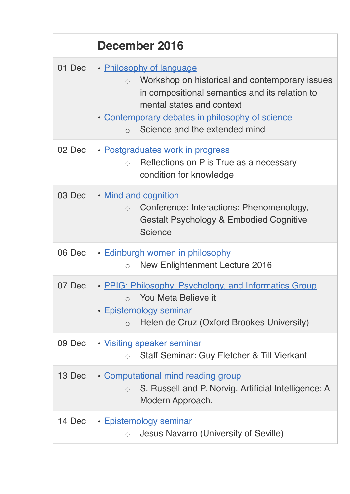|        | December 2016                                                                                                                                                                                                                                                          |
|--------|------------------------------------------------------------------------------------------------------------------------------------------------------------------------------------------------------------------------------------------------------------------------|
| 01 Dec | • Philosophy of language<br>Workshop on historical and contemporary issues<br>$\circ$<br>in compositional semantics and its relation to<br>mental states and context<br>• Contemporary debates in philosophy of science<br>Science and the extended mind<br>$\bigcirc$ |
| 02 Dec | • Postgraduates work in progress<br>Reflections on P is True as a necessary<br>$\circ$<br>condition for knowledge                                                                                                                                                      |
| 03 Dec | . Mind and cognition<br>Conference: Interactions: Phenomenology,<br>$\bigcirc$<br>Gestalt Psychology & Embodied Cognitive<br><b>Science</b>                                                                                                                            |
| 06 Dec | · Edinburgh women in philosophy<br><b>New Enlightenment Lecture 2016</b><br>$\circ$                                                                                                                                                                                    |
| 07 Dec | • PPIG: Philosophy, Psychology, and Informatics Group<br>You Meta Believe it<br>• Epistemology seminar<br>Helen de Cruz (Oxford Brookes University)<br>$\circ$                                                                                                         |
| 09 Dec | • Visiting speaker seminar<br>Staff Seminar: Guy Fletcher & Till Vierkant<br>$\circ$                                                                                                                                                                                   |
| 13 Dec | • Computational mind reading group<br>S. Russell and P. Norvig. Artificial Intelligence: A<br>$\circ$<br>Modern Approach.                                                                                                                                              |
| 14 Dec | · Epistemology seminar<br>Jesus Navarro (University of Seville)<br>$\bigcirc$                                                                                                                                                                                          |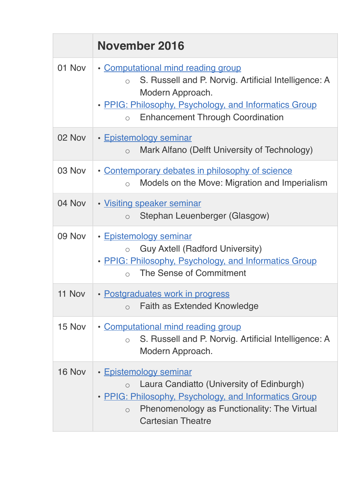|        | <b>November 2016</b>                                                                                                                                                                                                                        |
|--------|---------------------------------------------------------------------------------------------------------------------------------------------------------------------------------------------------------------------------------------------|
| 01 Nov | • Computational mind reading group<br>S. Russell and P. Norvig. Artificial Intelligence: A<br>$\bigcirc$<br>Modern Approach.<br>• PPIG: Philosophy, Psychology, and Informatics Group<br><b>Enhancement Through Coordination</b><br>$\circ$ |
| 02 Nov | • Epistemology seminar<br>Mark Alfano (Delft University of Technology)<br>$\circ$                                                                                                                                                           |
| 03 Nov | • Contemporary debates in philosophy of science<br>Models on the Move: Migration and Imperialism<br>$\circ$                                                                                                                                 |
| 04 Nov | · Visiting speaker seminar<br>Stephan Leuenberger (Glasgow)<br>$\circ$                                                                                                                                                                      |
| 09 Nov | • Epistemology seminar<br><b>Guy Axtell (Radford University)</b><br>$\bigcirc$<br>• PPIG: Philosophy, Psychology, and Informatics Group<br>The Sense of Commitment<br>$\bigcirc$                                                            |
| 11 Nov | · Postgraduates work in progress<br><b>Faith as Extended Knowledge</b><br>$\circ$                                                                                                                                                           |
| 15 Nov | • Computational mind reading group<br>S. Russell and P. Norvig. Artificial Intelligence: A<br>$\circ$<br>Modern Approach.                                                                                                                   |
| 16 Nov | • Epistemology seminar<br>Laura Candiatto (University of Edinburgh)<br>$\circ$<br>• PPIG: Philosophy, Psychology, and Informatics Group<br>Phenomenology as Functionality: The Virtual<br>$\circ$<br><b>Cartesian Theatre</b>               |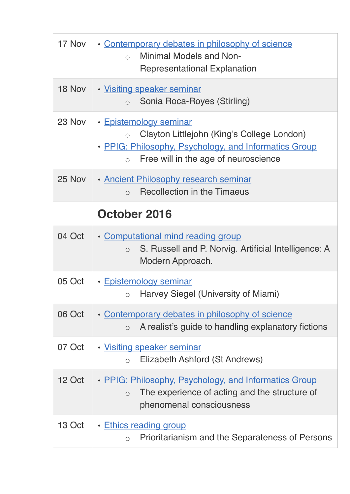| 17 Nov | • Contemporary debates in philosophy of science<br><b>Minimal Models and Non-</b><br>$\circ$<br><b>Representational Explanation</b>                                                         |
|--------|---------------------------------------------------------------------------------------------------------------------------------------------------------------------------------------------|
| 18 Nov | • Visiting speaker seminar<br>Sonia Roca-Royes (Stirling)<br>$\circ$                                                                                                                        |
| 23 Nov | • Epistemology seminar<br>Clayton Littlejohn (King's College London)<br>$\circ$<br>• PPIG: Philosophy, Psychology, and Informatics Group<br>Free will in the age of neuroscience<br>$\circ$ |
| 25 Nov | • Ancient Philosophy research seminar<br><b>Recollection in the Timaeus</b><br>$\bigcirc$                                                                                                   |
|        | October 2016                                                                                                                                                                                |
| 04 Oct | • Computational mind reading group<br>S. Russell and P. Norvig. Artificial Intelligence: A<br>$\bigcirc$<br>Modern Approach.                                                                |
| 05 Oct | • Epistemology seminar<br>$\circ$ Harvey Siegel (University of Miami)                                                                                                                       |
| 06 Oct | • Contemporary debates in philosophy of science<br>A realist's guide to handling explanatory fictions<br>$\circ$                                                                            |
| 07 Oct | · Visiting speaker seminar<br>Elizabeth Ashford (St Andrews)<br>$\circ$                                                                                                                     |
| 12 Oct | • PPIG: Philosophy, Psychology, and Informatics Group<br>The experience of acting and the structure of<br>$\circ$<br>phenomenal consciousness                                               |
| 13 Oct | • Ethics reading group<br>Prioritarianism and the Separateness of Persons<br>$\circ$                                                                                                        |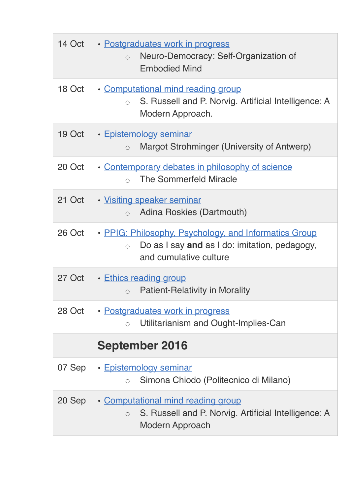| 14 Oct | • Postgraduates work in progress<br>Neuro-Democracy: Self-Organization of<br>$\circ$<br><b>Embodied Mind</b>                                   |
|--------|------------------------------------------------------------------------------------------------------------------------------------------------|
| 18 Oct | • Computational mind reading group<br>S. Russell and P. Norvig. Artificial Intelligence: A<br>$\circ$<br>Modern Approach.                      |
| 19 Oct | • Epistemology seminar<br>Margot Strohminger (University of Antwerp)<br>$\circ$                                                                |
| 20 Oct | • Contemporary debates in philosophy of science<br>The Sommerfeld Miracle<br>$\bigcap$                                                         |
| 21 Oct | • Visiting speaker seminar<br>Adina Roskies (Dartmouth)<br>$\circ$                                                                             |
| 26 Oct | • PPIG: Philosophy, Psychology, and Informatics Group<br>Do as I say and as I do: imitation, pedagogy,<br>$\bigcirc$<br>and cumulative culture |
| 27 Oct | • Ethics reading group<br><b>Patient-Relativity in Morality</b><br>$\circ$                                                                     |
| 28 Oct | • Postgraduates work in progress<br>Utilitarianism and Ought-Implies-Can<br>$\bigcirc$                                                         |
|        | <b>September 2016</b>                                                                                                                          |
| 07 Sep | • Epistemology seminar<br>Simona Chiodo (Politecnico di Milano)<br>$\bigcirc$                                                                  |
| 20 Sep | • Computational mind reading group<br>S. Russell and P. Norvig. Artificial Intelligence: A<br>$\circ$<br>Modern Approach                       |